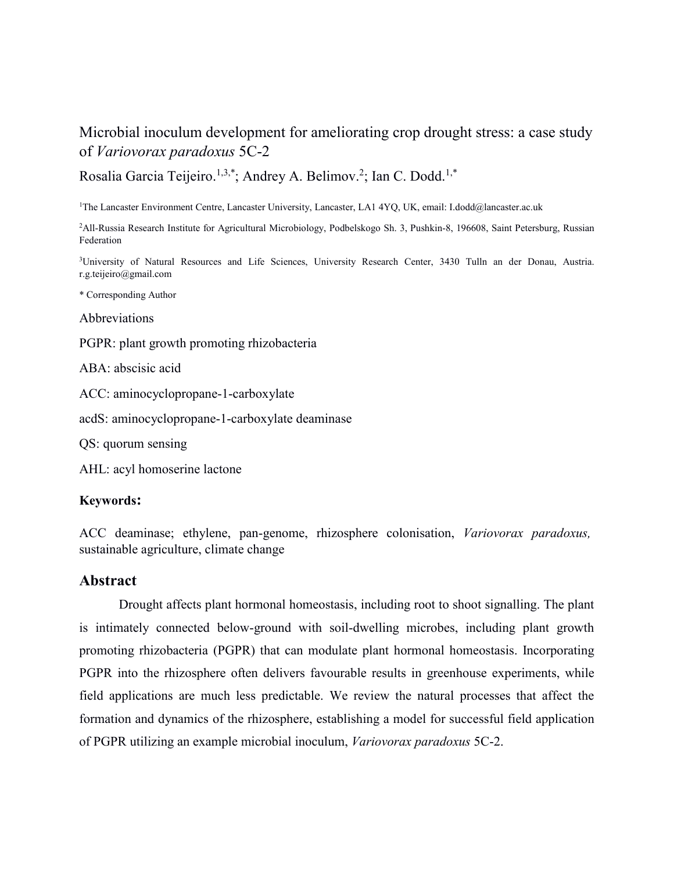# Microbial inoculum development for ameliorating crop drought stress: a case study of *Variovorax paradoxus* 5C-2

Rosalia Garcia Teijeiro.<sup>1,3,\*</sup>; Andrey A. Belimov.<sup>2</sup>; Ian C. Dodd.<sup>1,\*</sup>

1The Lancaster Environment Centre, Lancaster University, Lancaster, LA1 4YQ, UK, email: I.dodd@lancaster.ac.uk

2All-Russia Research Institute for Agricultural Microbiology, Podbelskogo Sh. 3, Pushkin-8, 196608, Saint Petersburg, Russian Federation

<sup>3</sup>University of Natural Resources and Life Sciences, University Research Center, 3430 Tulln an der Donau, Austria. r.g.teijeiro@gmail.com

\* Corresponding Author

Abbreviations

PGPR: plant growth promoting rhizobacteria

ABA: abscisic acid

ACC: aminocyclopropane-1-carboxylate

acdS: aminocyclopropane-1-carboxylate deaminase

QS: quorum sensing

AHL: acyl homoserine lactone

#### **Keywords:**

ACC deaminase; ethylene, pan-genome, rhizosphere colonisation, *Variovorax paradoxus,*  sustainable agriculture, climate change

#### **Abstract**

Drought affects plant hormonal homeostasis, including root to shoot signalling. The plant is intimately connected below-ground with soil-dwelling microbes, including plant growth promoting rhizobacteria (PGPR) that can modulate plant hormonal homeostasis. Incorporating PGPR into the rhizosphere often delivers favourable results in greenhouse experiments, while field applications are much less predictable. We review the natural processes that affect the formation and dynamics of the rhizosphere, establishing a model for successful field application of PGPR utilizing an example microbial inoculum, *Variovorax paradoxus* 5C-2.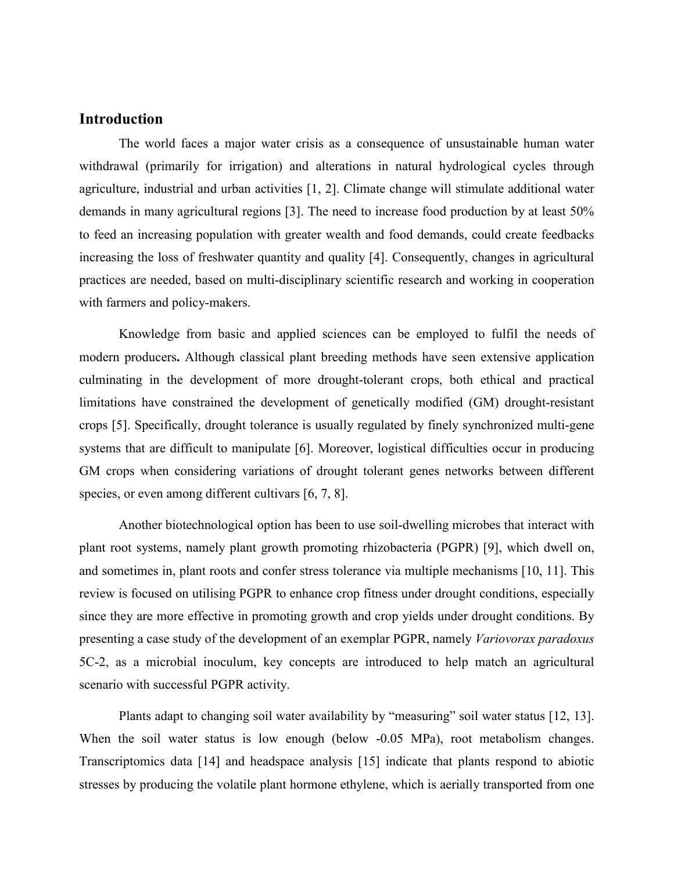### **Introduction**

The world faces a major water crisis as a consequence of unsustainable human water withdrawal (primarily for irrigation) and alterations in natural hydrological cycles through agriculture, industrial and urban activities [1, 2]. Climate change will stimulate additional water demands in many agricultural regions [3]. The need to increase food production by at least 50% to feed an increasing population with greater wealth and food demands, could create feedbacks increasing the loss of freshwater quantity and quality [4]. Consequently, changes in agricultural practices are needed, based on multi-disciplinary scientific research and working in cooperation with farmers and policy-makers.

Knowledge from basic and applied sciences can be employed to fulfil the needs of modern producers**.** Although classical plant breeding methods have seen extensive application culminating in the development of more drought-tolerant crops, both ethical and practical limitations have constrained the development of genetically modified (GM) drought-resistant crops [5]. Specifically, drought tolerance is usually regulated by finely synchronized multi-gene systems that are difficult to manipulate [6]. Moreover, logistical difficulties occur in producing GM crops when considering variations of drought tolerant genes networks between different species, or even among different cultivars [6, 7, 8].

Another biotechnological option has been to use soil-dwelling microbes that interact with plant root systems, namely plant growth promoting rhizobacteria (PGPR) [9], which dwell on, and sometimes in, plant roots and confer stress tolerance via multiple mechanisms [10, 11]. This review is focused on utilising PGPR to enhance crop fitness under drought conditions, especially since they are more effective in promoting growth and crop yields under drought conditions. By presenting a case study of the development of an exemplar PGPR, namely *Variovorax paradoxus* 5C-2, as a microbial inoculum, key concepts are introduced to help match an agricultural scenario with successful PGPR activity.

Plants adapt to changing soil water availability by "measuring" soil water status [12, 13]. When the soil water status is low enough (below -0.05 MPa), root metabolism changes. Transcriptomics data [14] and headspace analysis [15] indicate that plants respond to abiotic stresses by producing the volatile plant hormone ethylene, which is aerially transported from one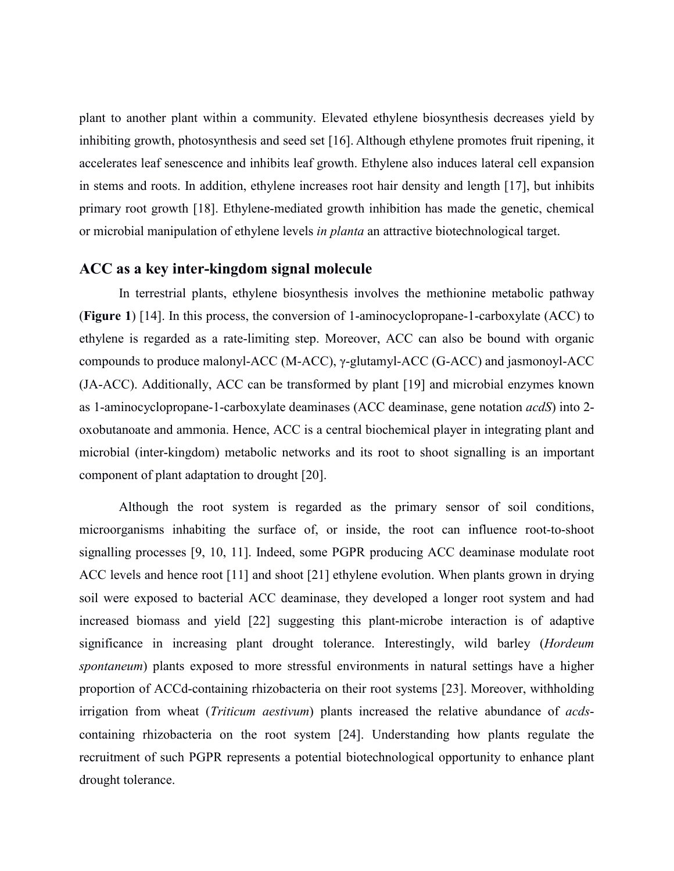plant to another plant within a community. Elevated ethylene biosynthesis decreases yield by inhibiting growth, photosynthesis and seed set [16]. Although ethylene promotes fruit ripening, it accelerates leaf senescence and inhibits leaf growth. Ethylene also induces lateral cell expansion in stems and roots. In addition, ethylene increases root hair density and length [17], but inhibits primary root growth [18]. Ethylene-mediated growth inhibition has made the genetic, chemical or microbial manipulation of ethylene levels *in planta* an attractive biotechnological target.

## **ACC as a key inter-kingdom signal molecule**

In terrestrial plants, ethylene biosynthesis involves the methionine metabolic pathway (**Figure 1**) [14]. In this process, the conversion of 1-aminocyclopropane-1-carboxylate (ACC) to ethylene is regarded as a rate-limiting step. Moreover, ACC can also be bound with organic compounds to produce malonyl-ACC (M-ACC), γ-glutamyl-ACC (G-ACC) and jasmonoyl-ACC (JA-ACC). Additionally, ACC can be transformed by plant [19] and microbial enzymes known as 1-aminocyclopropane-1-carboxylate deaminases (ACC deaminase, gene notation *acdS*) into 2 oxobutanoate and ammonia. Hence, ACC is a central biochemical player in integrating plant and microbial (inter-kingdom) metabolic networks and its root to shoot signalling is an important component of plant adaptation to drought [20].

Although the root system is regarded as the primary sensor of soil conditions, microorganisms inhabiting the surface of, or inside, the root can influence root-to-shoot signalling processes [9, 10, 11]. Indeed, some PGPR producing ACC deaminase modulate root ACC levels and hence root [11] and shoot [21] ethylene evolution. When plants grown in drying soil were exposed to bacterial ACC deaminase, they developed a longer root system and had increased biomass and yield [22] suggesting this plant-microbe interaction is of adaptive significance in increasing plant drought tolerance. Interestingly, wild barley (*Hordeum spontaneum*) plants exposed to more stressful environments in natural settings have a higher proportion of ACCd-containing rhizobacteria on their root systems [23]. Moreover, withholding irrigation from wheat (*Triticum aestivum*) plants increased the relative abundance of *acds*containing rhizobacteria on the root system [24]. Understanding how plants regulate the recruitment of such PGPR represents a potential biotechnological opportunity to enhance plant drought tolerance.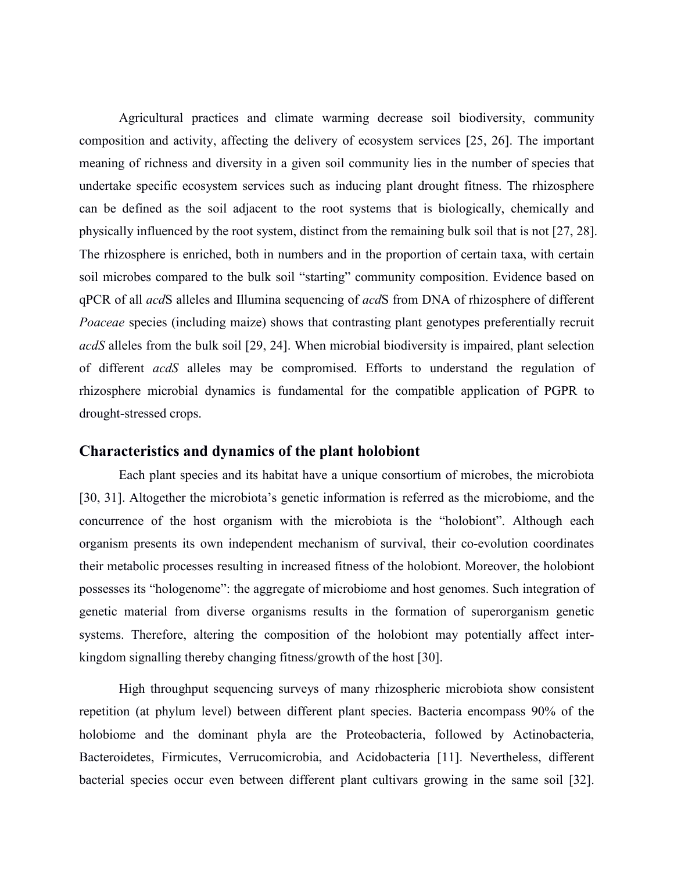Agricultural practices and climate warming decrease soil biodiversity, community composition and activity, affecting the delivery of ecosystem services [25, 26]. The important meaning of richness and diversity in a given soil community lies in the number of species that undertake specific ecosystem services such as inducing plant drought fitness. The rhizosphere can be defined as the soil adjacent to the root systems that is biologically, chemically and physically influenced by the root system, distinct from the remaining bulk soil that is not [27, 28]. The rhizosphere is enriched, both in numbers and in the proportion of certain taxa, with certain soil microbes compared to the bulk soil "starting" community composition. Evidence based on qPCR of all *acd*S alleles and Illumina sequencing of *acd*S from DNA of rhizosphere of different *Poaceae* species (including maize) shows that contrasting plant genotypes preferentially recruit *acdS* alleles from the bulk soil [29, 24]. When microbial biodiversity is impaired, plant selection of different *acdS* alleles may be compromised. Efforts to understand the regulation of rhizosphere microbial dynamics is fundamental for the compatible application of PGPR to drought-stressed crops.

### **Characteristics and dynamics of the plant holobiont**

Each plant species and its habitat have a unique consortium of microbes, the microbiota [30, 31]. Altogether the microbiota's genetic information is referred as the microbiome, and the concurrence of the host organism with the microbiota is the "holobiont". Although each organism presents its own independent mechanism of survival, their co-evolution coordinates their metabolic processes resulting in increased fitness of the holobiont. Moreover, the holobiont possesses its "hologenome": the aggregate of microbiome and host genomes. Such integration of genetic material from diverse organisms results in the formation of superorganism genetic systems. Therefore, altering the composition of the holobiont may potentially affect interkingdom signalling thereby changing fitness/growth of the host [30].

High throughput sequencing surveys of many rhizospheric microbiota show consistent repetition (at phylum level) between different plant species. Bacteria encompass 90% of the holobiome and the dominant phyla are the Proteobacteria, followed by Actinobacteria, Bacteroidetes, Firmicutes, Verrucomicrobia, and Acidobacteria [11]. Nevertheless, different bacterial species occur even between different plant cultivars growing in the same soil [32].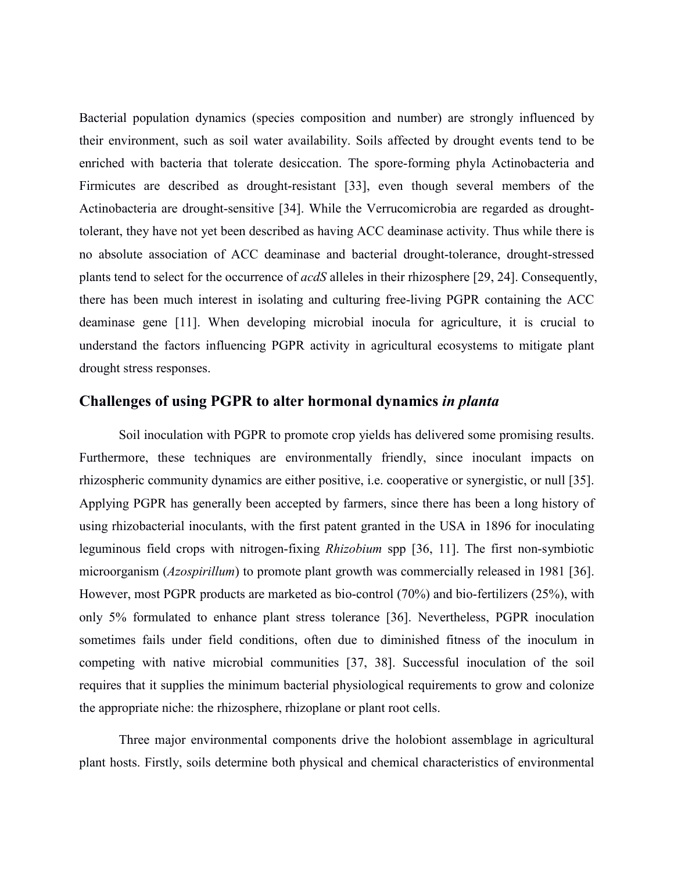Bacterial population dynamics (species composition and number) are strongly influenced by their environment, such as soil water availability. Soils affected by drought events tend to be enriched with bacteria that tolerate desiccation. The spore-forming phyla Actinobacteria and Firmicutes are described as drought-resistant [33], even though several members of the Actinobacteria are drought-sensitive [34]. While the Verrucomicrobia are regarded as droughttolerant, they have not yet been described as having ACC deaminase activity. Thus while there is no absolute association of ACC deaminase and bacterial drought-tolerance, drought-stressed plants tend to select for the occurrence of *acdS* alleles in their rhizosphere [29, 24]. Consequently, there has been much interest in isolating and culturing free-living PGPR containing the ACC deaminase gene [11]. When developing microbial inocula for agriculture, it is crucial to understand the factors influencing PGPR activity in agricultural ecosystems to mitigate plant drought stress responses.

### **Challenges of using PGPR to alter hormonal dynamics** *in planta*

Soil inoculation with PGPR to promote crop yields has delivered some promising results. Furthermore, these techniques are environmentally friendly, since inoculant impacts on rhizospheric community dynamics are either positive, i.e. cooperative or synergistic, or null [35]. Applying PGPR has generally been accepted by farmers, since there has been a long history of using rhizobacterial inoculants, with the first patent granted in the USA in 1896 for inoculating leguminous field crops with nitrogen-fixing *Rhizobium* spp [36, 11]. The first non-symbiotic microorganism (*Azospirillum*) to promote plant growth was commercially released in 1981 [36]. However, most PGPR products are marketed as bio-control (70%) and bio-fertilizers (25%), with only 5% formulated to enhance plant stress tolerance [36]. Nevertheless, PGPR inoculation sometimes fails under field conditions, often due to diminished fitness of the inoculum in competing with native microbial communities [37, 38]. Successful inoculation of the soil requires that it supplies the minimum bacterial physiological requirements to grow and colonize the appropriate niche: the rhizosphere, rhizoplane or plant root cells.

Three major environmental components drive the holobiont assemblage in agricultural plant hosts. Firstly, soils determine both physical and chemical characteristics of environmental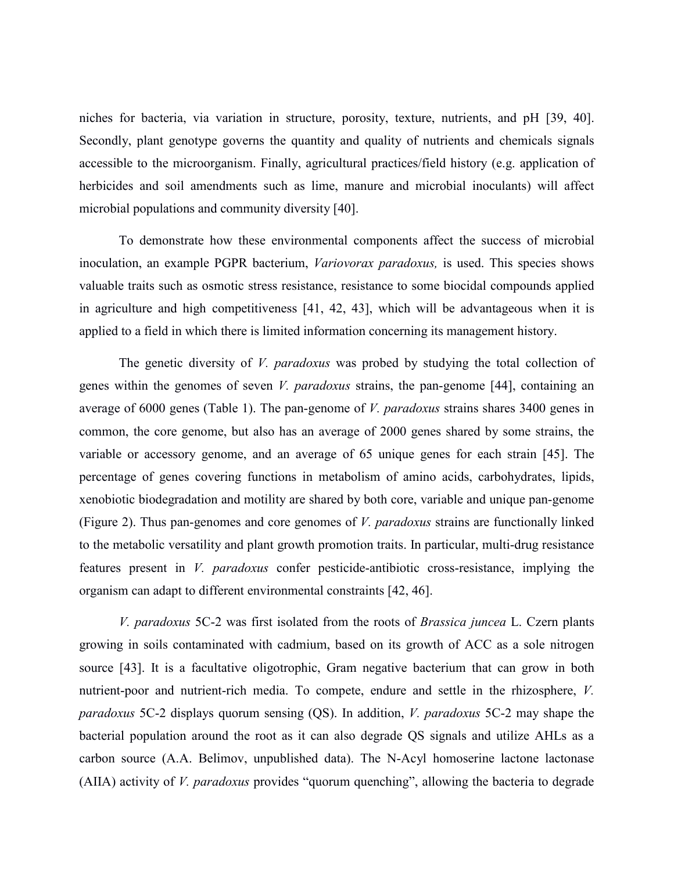niches for bacteria, via variation in structure, porosity, texture, nutrients, and pH [39, 40]. Secondly, plant genotype governs the quantity and quality of nutrients and chemicals signals accessible to the microorganism. Finally, agricultural practices/field history (e.g. application of herbicides and soil amendments such as lime, manure and microbial inoculants) will affect microbial populations and community diversity [40].

To demonstrate how these environmental components affect the success of microbial inoculation, an example PGPR bacterium, *Variovorax paradoxus,* is used. This species shows valuable traits such as osmotic stress resistance, resistance to some biocidal compounds applied in agriculture and high competitiveness [41, 42, 43], which will be advantageous when it is applied to a field in which there is limited information concerning its management history.

The genetic diversity of *V. paradoxus* was probed by studying the total collection of genes within the genomes of seven *V. paradoxus* strains, the pan-genome [44], containing an average of 6000 genes (Table 1). The pan-genome of *V. paradoxus* strains shares 3400 genes in common, the core genome, but also has an average of 2000 genes shared by some strains, the variable or accessory genome, and an average of 65 unique genes for each strain [45]. The percentage of genes covering functions in metabolism of amino acids, carbohydrates, lipids, xenobiotic biodegradation and motility are shared by both core, variable and unique pan-genome (Figure 2). Thus pan-genomes and core genomes of *V. paradoxus* strains are functionally linked to the metabolic versatility and plant growth promotion traits. In particular, multi-drug resistance features present in *V. paradoxus* confer pesticide-antibiotic cross-resistance, implying the organism can adapt to different environmental constraints [42, 46].

*V. paradoxus* 5C-2 was first isolated from the roots of *Brassica juncea* L. Czern plants growing in soils contaminated with cadmium, based on its growth of ACC as a sole nitrogen source [43]. It is a facultative oligotrophic, Gram negative bacterium that can grow in both nutrient-poor and nutrient-rich media. To compete, endure and settle in the rhizosphere, *V. paradoxus* 5C-2 displays quorum sensing (QS). In addition, *V. paradoxus* 5C-2 may shape the bacterial population around the root as it can also degrade QS signals and utilize AHLs as a carbon source (A.A. Belimov, unpublished data). The N-Acyl homoserine lactone lactonase (AIIA) activity of *V. paradoxus* provides "quorum quenching", allowing the bacteria to degrade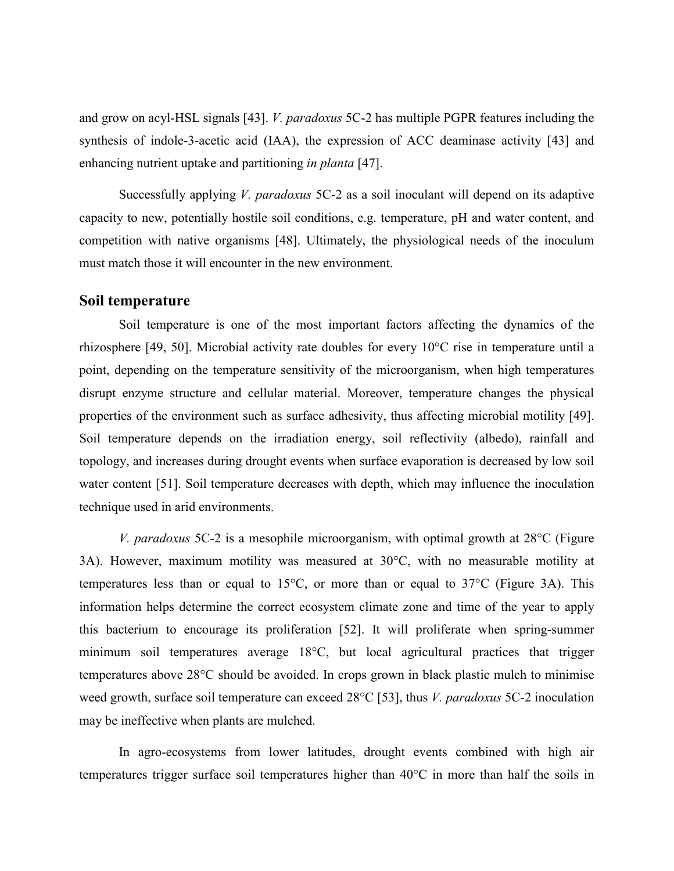and grow on acyl-HSL signals [43]. *V. paradoxus* 5C-2 has multiple PGPR features including the synthesis of indole-3-acetic acid (IAA), the expression of ACC deaminase activity [43] and enhancing nutrient uptake and partitioning *in planta* [47].

Successfully applying *V. paradoxus* 5C-2 as a soil inoculant will depend on its adaptive capacity to new, potentially hostile soil conditions, e.g. temperature, pH and water content, and competition with native organisms [48]. Ultimately, the physiological needs of the inoculum must match those it will encounter in the new environment.

#### **Soil temperature**

Soil temperature is one of the most important factors affecting the dynamics of the rhizosphere [49, 50]. Microbial activity rate doubles for every 10°C rise in temperature until a point, depending on the temperature sensitivity of the microorganism, when high temperatures disrupt enzyme structure and cellular material. Moreover, temperature changes the physical properties of the environment such as surface adhesivity, thus affecting microbial motility [49]. Soil temperature depends on the irradiation energy, soil reflectivity (albedo), rainfall and topology, and increases during drought events when surface evaporation is decreased by low soil water content [51]. Soil temperature decreases with depth, which may influence the inoculation technique used in arid environments.

*V. paradoxus* 5C-2 is a mesophile microorganism, with optimal growth at 28°C (Figure 3A). However, maximum motility was measured at 30°C, with no measurable motility at temperatures less than or equal to 15°C, or more than or equal to 37°C (Figure 3A). This information helps determine the correct ecosystem climate zone and time of the year to apply this bacterium to encourage its proliferation [52]. It will proliferate when spring-summer minimum soil temperatures average 18°C, but local agricultural practices that trigger temperatures above 28°C should be avoided. In crops grown in black plastic mulch to minimise weed growth, surface soil temperature can exceed 28°C [53], thus *V. paradoxus* 5C-2 inoculation may be ineffective when plants are mulched.

In agro-ecosystems from lower latitudes, drought events combined with high air temperatures trigger surface soil temperatures higher than 40°C in more than half the soils in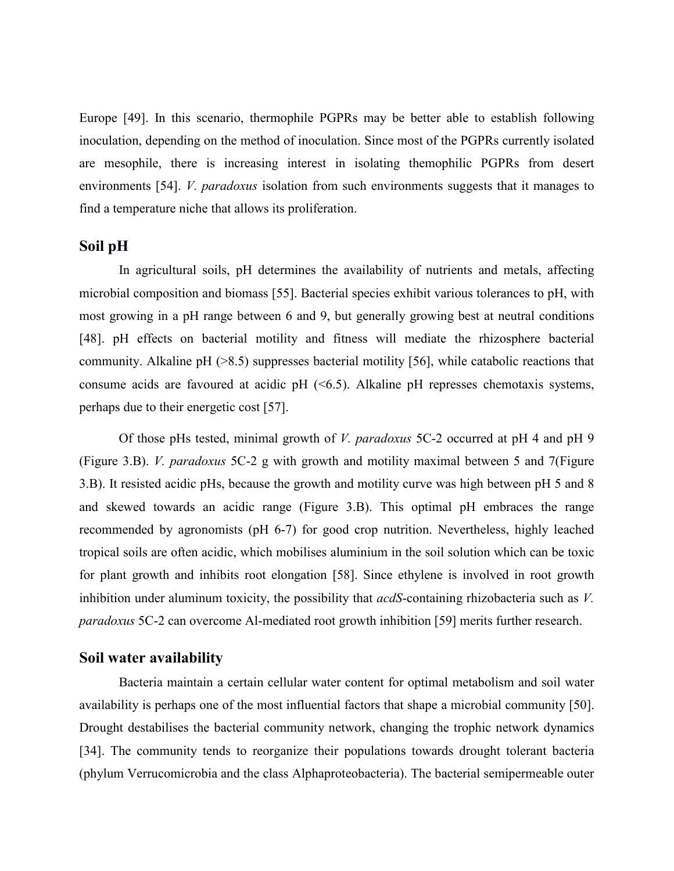Europe [49]. In this scenario, thermophile PGPRs may be better able to establish following inoculation, depending on the method of inoculation. Since most of the PGPRs currently isolated are mesophile, there is increasing interest in isolating themophilic PGPRs from desert environments [54]. *V. paradoxus* isolation from such environments suggests that it manages to find a temperature niche that allows its proliferation.

#### **Soil pH**

In agricultural soils, pH determines the availability of nutrients and metals, affecting microbial composition and biomass [55]. Bacterial species exhibit various tolerances to pH, with most growing in a pH range between 6 and 9, but generally growing best at neutral conditions [48]. pH effects on bacterial motility and fitness will mediate the rhizosphere bacterial community. Alkaline pH (>8.5) suppresses bacterial motility [56], while catabolic reactions that consume acids are favoured at acidic pH  $( $6.5$ ). Alkaline pH represents the *the*-parameters.$ perhaps due to their energetic cost [57].

Of those pHs tested, minimal growth of *V. paradoxus* 5C-2 occurred at pH 4 and pH 9 (Figure 3.B). *V. paradoxus* 5C-2 g with growth and motility maximal between 5 and 7(Figure 3.B). It resisted acidic pHs, because the growth and motility curve was high between pH 5 and 8 and skewed towards an acidic range (Figure 3.B). This optimal pH embraces the range recommended by agronomists (pH 6-7) for good crop nutrition. Nevertheless, highly leached tropical soils are often acidic, which mobilises aluminium in the soil solution which can be toxic for plant growth and inhibits root elongation [58]. Since ethylene is involved in root growth inhibition under aluminum toxicity, the possibility that *acdS*-containing rhizobacteria such as *V. paradoxus* 5C-2 can overcome Al-mediated root growth inhibition [59] merits further research.

#### **Soil water availability**

Bacteria maintain a certain cellular water content for optimal metabolism and soil water availability is perhaps one of the most influential factors that shape a microbial community [50]. Drought destabilises the bacterial community network, changing the trophic network dynamics [34]. The community tends to reorganize their populations towards drought tolerant bacteria (phylum Verrucomicrobia and the class Alphaproteobacteria). The bacterial semipermeable outer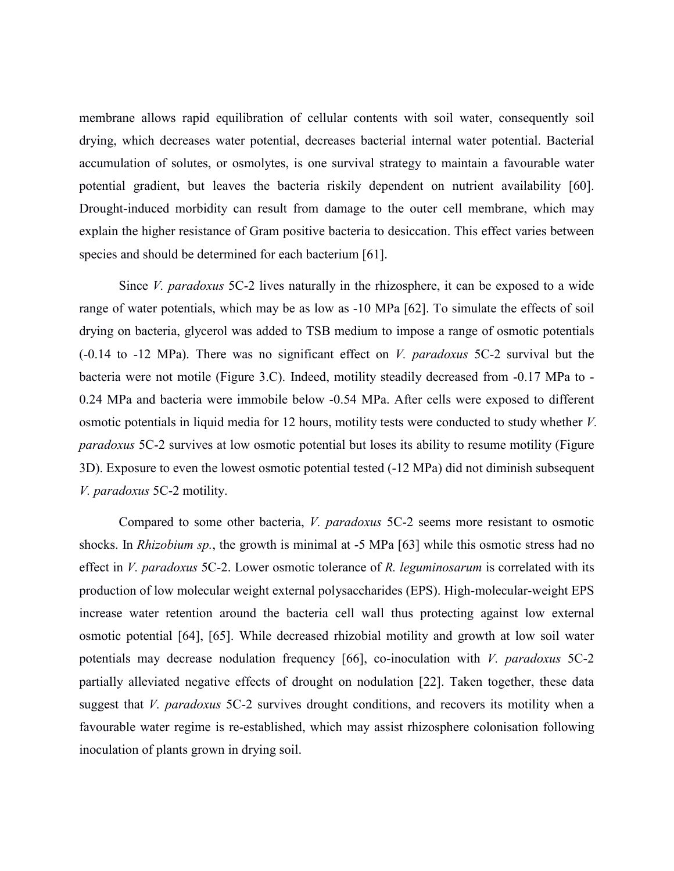membrane allows rapid equilibration of cellular contents with soil water, consequently soil drying, which decreases water potential, decreases bacterial internal water potential. Bacterial accumulation of solutes, or osmolytes, is one survival strategy to maintain a favourable water potential gradient, but leaves the bacteria riskily dependent on nutrient availability [60]. Drought-induced morbidity can result from damage to the outer cell membrane, which may explain the higher resistance of Gram positive bacteria to desiccation. This effect varies between species and should be determined for each bacterium [61].

Since *V. paradoxus* 5C-2 lives naturally in the rhizosphere, it can be exposed to a wide range of water potentials, which may be as low as -10 MPa [62]. To simulate the effects of soil drying on bacteria, glycerol was added to TSB medium to impose a range of osmotic potentials (-0.14 to -12 MPa). There was no significant effect on *V. paradoxus* 5C-2 survival but the bacteria were not motile (Figure 3.C). Indeed, motility steadily decreased from -0.17 MPa to - 0.24 MPa and bacteria were immobile below -0.54 MPa. After cells were exposed to different osmotic potentials in liquid media for 12 hours, motility tests were conducted to study whether *V. paradoxus* 5C-2 survives at low osmotic potential but loses its ability to resume motility (Figure 3D). Exposure to even the lowest osmotic potential tested (-12 MPa) did not diminish subsequent *V. paradoxus* 5C-2 motility.

Compared to some other bacteria, *V. paradoxus* 5C-2 seems more resistant to osmotic shocks. In *Rhizobium sp.*, the growth is minimal at -5 MPa [63] while this osmotic stress had no effect in *V. paradoxus* 5C-2. Lower osmotic tolerance of *R. leguminosarum* is correlated with its production of low molecular weight external polysaccharides (EPS). High-molecular-weight EPS increase water retention around the bacteria cell wall thus protecting against low external osmotic potential [64], [65]. While decreased rhizobial motility and growth at low soil water potentials may decrease nodulation frequency [66], co-inoculation with *V. paradoxus* 5C-2 partially alleviated negative effects of drought on nodulation [22]. Taken together, these data suggest that *V. paradoxus* 5C-2 survives drought conditions, and recovers its motility when a favourable water regime is re-established, which may assist rhizosphere colonisation following inoculation of plants grown in drying soil.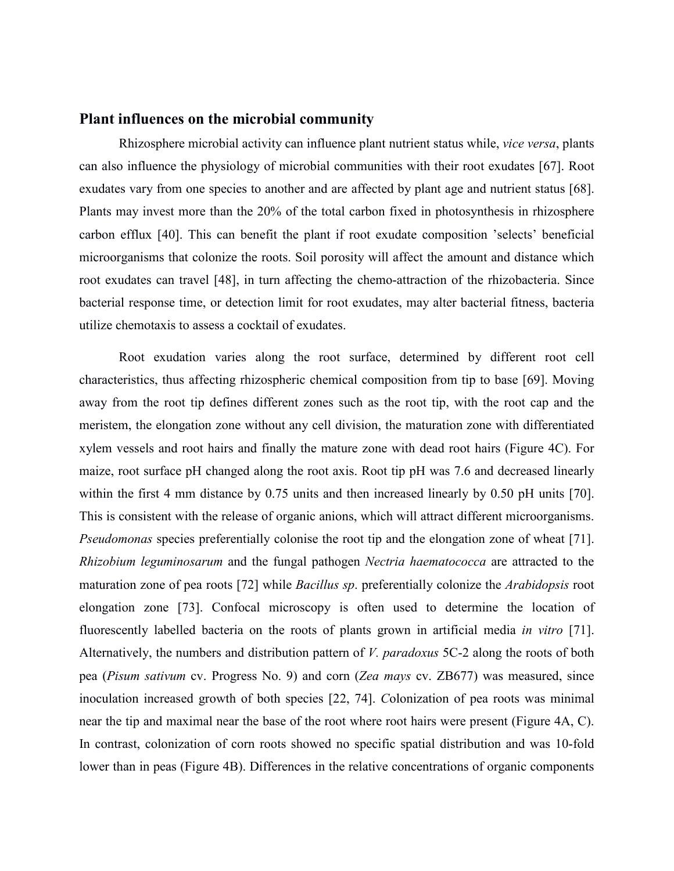#### **Plant influences on the microbial community**

Rhizosphere microbial activity can influence plant nutrient status while, *vice versa*, plants can also influence the physiology of microbial communities with their root exudates [67]. Root exudates vary from one species to another and are affected by plant age and nutrient status [68]. Plants may invest more than the 20% of the total carbon fixed in photosynthesis in rhizosphere carbon efflux [40]. This can benefit the plant if root exudate composition 'selects' beneficial microorganisms that colonize the roots. Soil porosity will affect the amount and distance which root exudates can travel [48], in turn affecting the chemo-attraction of the rhizobacteria. Since bacterial response time, or detection limit for root exudates, may alter bacterial fitness, bacteria utilize chemotaxis to assess a cocktail of exudates.

Root exudation varies along the root surface, determined by different root cell characteristics, thus affecting rhizospheric chemical composition from tip to base [69]. Moving away from the root tip defines different zones such as the root tip, with the root cap and the meristem, the elongation zone without any cell division, the maturation zone with differentiated xylem vessels and root hairs and finally the mature zone with dead root hairs (Figure 4C). For maize, root surface pH changed along the root axis. Root tip pH was 7.6 and decreased linearly within the first 4 mm distance by 0.75 units and then increased linearly by 0.50 pH units [70]. This is consistent with the release of organic anions, which will attract different microorganisms. *Pseudomonas* species preferentially colonise the root tip and the elongation zone of wheat [71]. *Rhizobium leguminosarum* and the fungal pathogen *Nectria haematococca* are attracted to the maturation zone of pea roots [72] while *Bacillus sp*. preferentially colonize the *Arabidopsis* root elongation zone [73]. Confocal microscopy is often used to determine the location of fluorescently labelled bacteria on the roots of plants grown in artificial media *in vitro* [71]. Alternatively, the numbers and distribution pattern of *V. paradoxus* 5C-2 along the roots of both pea (*Pisum sativum* cv. Progress No. 9) and corn (*Zea mays* cv. ZB677) was measured, since inoculation increased growth of both species [22, 74]. *C*olonization of pea roots was minimal near the tip and maximal near the base of the root where root hairs were present (Figure 4A, C). In contrast, colonization of corn roots showed no specific spatial distribution and was 10-fold lower than in peas (Figure 4B). Differences in the relative concentrations of organic components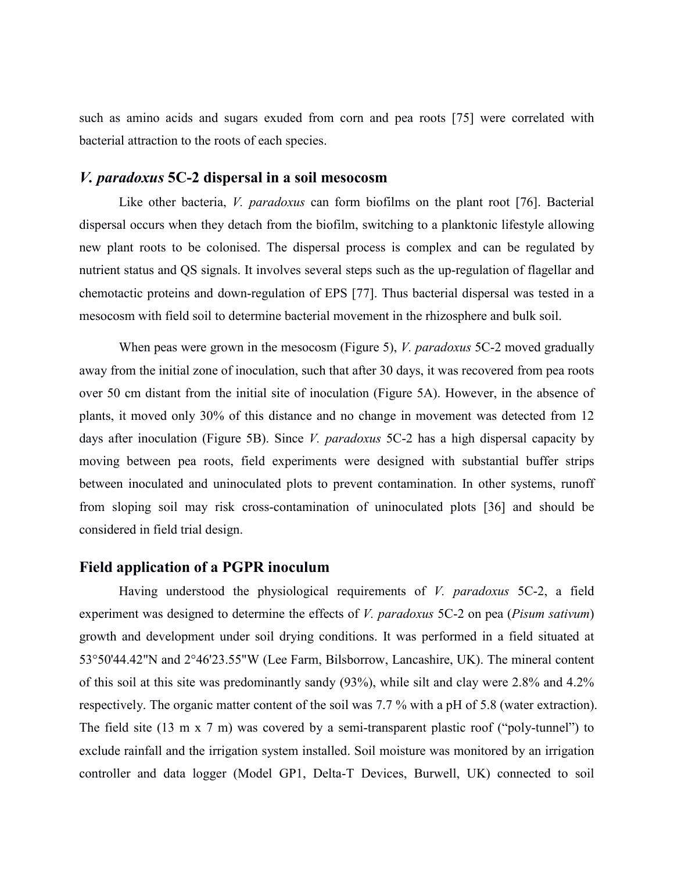such as amino acids and sugars exuded from corn and pea roots [75] were correlated with bacterial attraction to the roots of each species.

### *V. paradoxus* **5C-2 dispersal in a soil mesocosm**

Like other bacteria, *V. paradoxus* can form biofilms on the plant root [76]. Bacterial dispersal occurs when they detach from the biofilm, switching to a planktonic lifestyle allowing new plant roots to be colonised. The dispersal process is complex and can be regulated by nutrient status and QS signals. It involves several steps such as the up-regulation of flagellar and chemotactic proteins and down-regulation of EPS [77]. Thus bacterial dispersal was tested in a mesocosm with field soil to determine bacterial movement in the rhizosphere and bulk soil.

When peas were grown in the mesocosm (Figure 5), *V. paradoxus* 5C-2 moved gradually away from the initial zone of inoculation, such that after 30 days, it was recovered from pea roots over 50 cm distant from the initial site of inoculation (Figure 5A). However, in the absence of plants, it moved only 30% of this distance and no change in movement was detected from 12 days after inoculation (Figure 5B). Since *V. paradoxus* 5C-2 has a high dispersal capacity by moving between pea roots, field experiments were designed with substantial buffer strips between inoculated and uninoculated plots to prevent contamination. In other systems, runoff from sloping soil may risk cross-contamination of uninoculated plots [36] and should be considered in field trial design.

#### **Field application of a PGPR inoculum**

Having understood the physiological requirements of *V. paradoxus* 5C-2, a field experiment was designed to determine the effects of *V. paradoxus* 5C-2 on pea (*Pisum sativum*) growth and development under soil drying conditions. It was performed in a field situated at 53°50'44.42"N and 2°46'23.55"W (Lee Farm, Bilsborrow, Lancashire, UK). The mineral content of this soil at this site was predominantly sandy (93%), while silt and clay were 2.8% and 4.2% respectively. The organic matter content of the soil was 7.7 % with a pH of 5.8 (water extraction). The field site (13 m x 7 m) was covered by a semi-transparent plastic roof ("poly-tunnel") to exclude rainfall and the irrigation system installed. Soil moisture was monitored by an irrigation controller and data logger (Model GP1, Delta-T Devices, Burwell, UK) connected to soil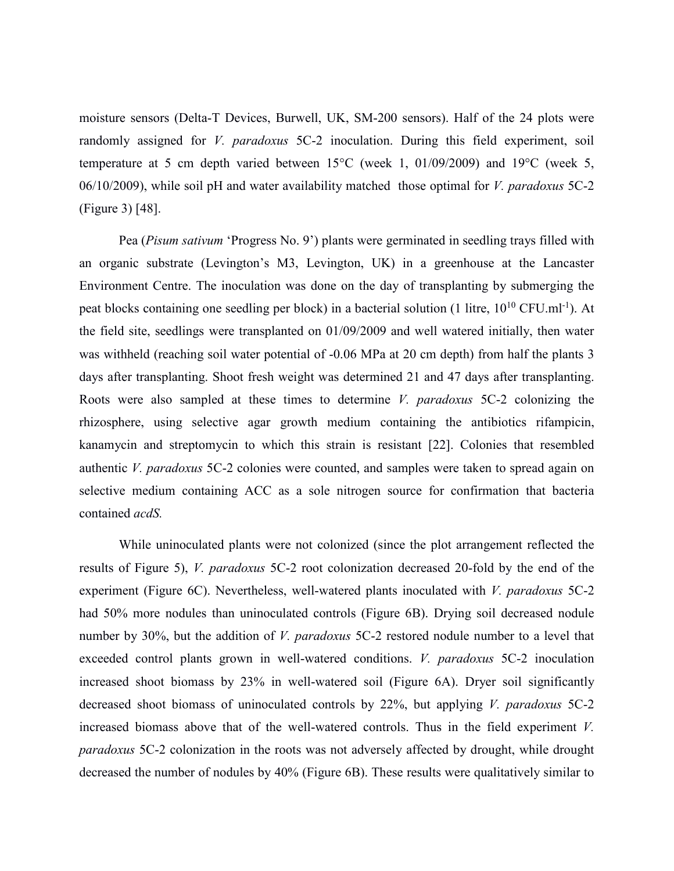moisture sensors (Delta-T Devices, Burwell, UK, SM-200 sensors). Half of the 24 plots were randomly assigned for *V. paradoxus* 5C-2 inoculation. During this field experiment, soil temperature at 5 cm depth varied between 15°C (week 1, 01/09/2009) and 19°C (week 5, 06/10/2009), while soil pH and water availability matched those optimal for *V. paradoxus* 5C-2 (Figure 3) [48].

Pea (*Pisum sativum* 'Progress No. 9') plants were germinated in seedling trays filled with an organic substrate (Levington's M3, Levington, UK) in a greenhouse at the Lancaster Environment Centre. The inoculation was done on the day of transplanting by submerging the peat blocks containing one seedling per block) in a bacterial solution (1 litre,  $10^{10}$  CFU.ml<sup>-1</sup>). At the field site, seedlings were transplanted on 01/09/2009 and well watered initially, then water was withheld (reaching soil water potential of -0.06 MPa at 20 cm depth) from half the plants 3 days after transplanting. Shoot fresh weight was determined 21 and 47 days after transplanting. Roots were also sampled at these times to determine *V. paradoxus* 5C-2 colonizing the rhizosphere, using selective agar growth medium containing the antibiotics rifampicin, kanamycin and streptomycin to which this strain is resistant [22]. Colonies that resembled authentic *V. paradoxus* 5C-2 colonies were counted, and samples were taken to spread again on selective medium containing ACC as a sole nitrogen source for confirmation that bacteria contained *acdS.*

While uninoculated plants were not colonized (since the plot arrangement reflected the results of Figure 5), *V. paradoxus* 5C-2 root colonization decreased 20-fold by the end of the experiment (Figure 6C). Nevertheless, well-watered plants inoculated with *V. paradoxus* 5C-2 had 50% more nodules than uninoculated controls (Figure 6B). Drying soil decreased nodule number by 30%, but the addition of *V. paradoxus* 5C-2 restored nodule number to a level that exceeded control plants grown in well-watered conditions. *V. paradoxus* 5C-2 inoculation increased shoot biomass by 23% in well-watered soil (Figure 6A). Dryer soil significantly decreased shoot biomass of uninoculated controls by 22%, but applying *V. paradoxus* 5C-2 increased biomass above that of the well-watered controls. Thus in the field experiment *V. paradoxus* 5C-2 colonization in the roots was not adversely affected by drought, while drought decreased the number of nodules by 40% (Figure 6B). These results were qualitatively similar to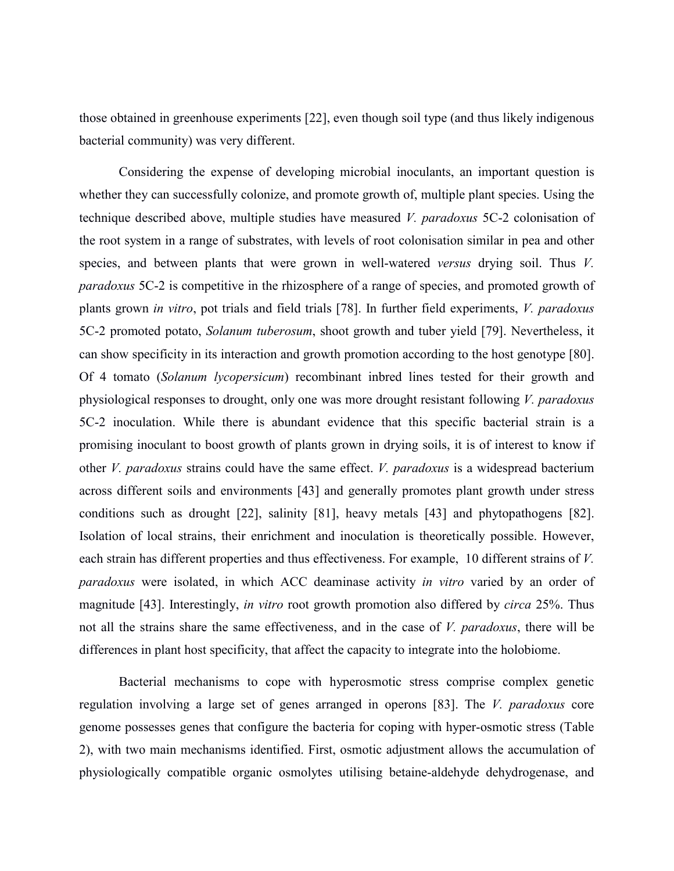those obtained in greenhouse experiments [22], even though soil type (and thus likely indigenous bacterial community) was very different.

Considering the expense of developing microbial inoculants, an important question is whether they can successfully colonize, and promote growth of, multiple plant species. Using the technique described above, multiple studies have measured *V. paradoxus* 5C-2 colonisation of the root system in a range of substrates, with levels of root colonisation similar in pea and other species, and between plants that were grown in well-watered *versus* drying soil. Thus *V. paradoxus* 5C-2 is competitive in the rhizosphere of a range of species, and promoted growth of plants grown *in vitro*, pot trials and field trials [78]. In further field experiments, *V. paradoxus* 5C-2 promoted potato, *Solanum tuberosum*, shoot growth and tuber yield [79]. Nevertheless, it can show specificity in its interaction and growth promotion according to the host genotype [80]. Of 4 tomato (*Solanum lycopersicum*) recombinant inbred lines tested for their growth and physiological responses to drought, only one was more drought resistant following *V. paradoxus* 5C-2 inoculation. While there is abundant evidence that this specific bacterial strain is a promising inoculant to boost growth of plants grown in drying soils, it is of interest to know if other *V. paradoxus* strains could have the same effect. *V. paradoxus* is a widespread bacterium across different soils and environments [43] and generally promotes plant growth under stress conditions such as drought [22], salinity [81], heavy metals [43] and phytopathogens [82]. Isolation of local strains, their enrichment and inoculation is theoretically possible. However, each strain has different properties and thus effectiveness. For example, 10 different strains of *V. paradoxus* were isolated, in which ACC deaminase activity *in vitro* varied by an order of magnitude [43]. Interestingly, *in vitro* root growth promotion also differed by *circa* 25%. Thus not all the strains share the same effectiveness, and in the case of *V. paradoxus*, there will be differences in plant host specificity, that affect the capacity to integrate into the holobiome.

Bacterial mechanisms to cope with hyperosmotic stress comprise complex genetic regulation involving a large set of genes arranged in operons [83]. The *V. paradoxus* core genome possesses genes that configure the bacteria for coping with hyper-osmotic stress (Table 2), with two main mechanisms identified. First, osmotic adjustment allows the accumulation of physiologically compatible organic osmolytes utilising betaine-aldehyde dehydrogenase, and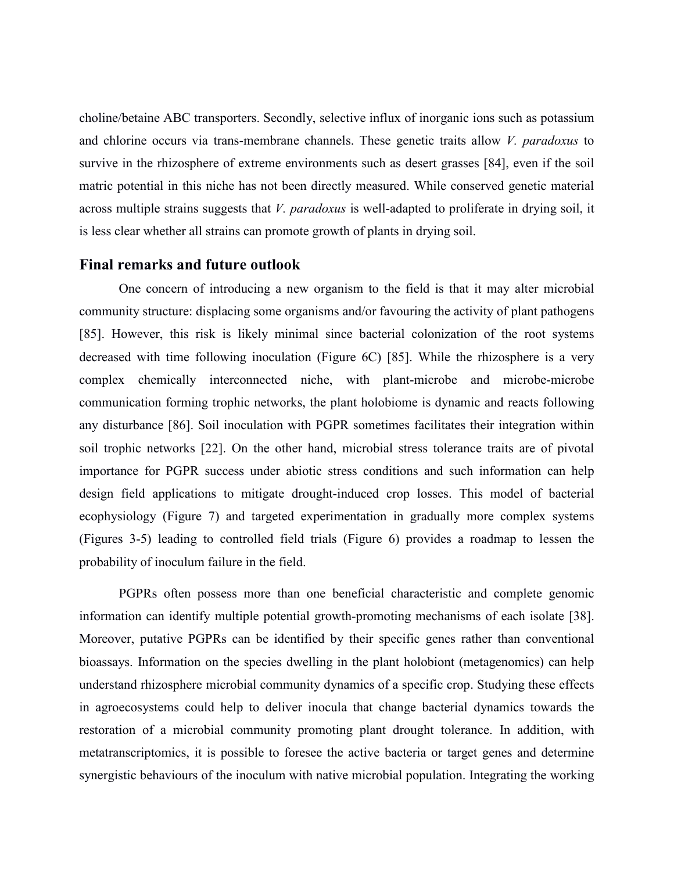choline/betaine ABC transporters. Secondly, selective influx of inorganic ions such as potassium and chlorine occurs via trans-membrane channels. These genetic traits allow *V. paradoxus* to survive in the rhizosphere of extreme environments such as desert grasses [84], even if the soil matric potential in this niche has not been directly measured. While conserved genetic material across multiple strains suggests that *V. paradoxus* is well-adapted to proliferate in drying soil, it is less clear whether all strains can promote growth of plants in drying soil.

#### **Final remarks and future outlook**

One concern of introducing a new organism to the field is that it may alter microbial community structure: displacing some organisms and/or favouring the activity of plant pathogens [85]. However, this risk is likely minimal since bacterial colonization of the root systems decreased with time following inoculation (Figure 6C) [85]. While the rhizosphere is a very complex chemically interconnected niche, with plant-microbe and microbe-microbe communication forming trophic networks, the plant holobiome is dynamic and reacts following any disturbance [86]. Soil inoculation with PGPR sometimes facilitates their integration within soil trophic networks [22]. On the other hand, microbial stress tolerance traits are of pivotal importance for PGPR success under abiotic stress conditions and such information can help design field applications to mitigate drought-induced crop losses. This model of bacterial ecophysiology (Figure 7) and targeted experimentation in gradually more complex systems (Figures 3-5) leading to controlled field trials (Figure 6) provides a roadmap to lessen the probability of inoculum failure in the field.

PGPRs often possess more than one beneficial characteristic and complete genomic information can identify multiple potential growth-promoting mechanisms of each isolate [38]. Moreover, putative PGPRs can be identified by their specific genes rather than conventional bioassays. Information on the species dwelling in the plant holobiont (metagenomics) can help understand rhizosphere microbial community dynamics of a specific crop. Studying these effects in agroecosystems could help to deliver inocula that change bacterial dynamics towards the restoration of a microbial community promoting plant drought tolerance. In addition, with metatranscriptomics, it is possible to foresee the active bacteria or target genes and determine synergistic behaviours of the inoculum with native microbial population. Integrating the working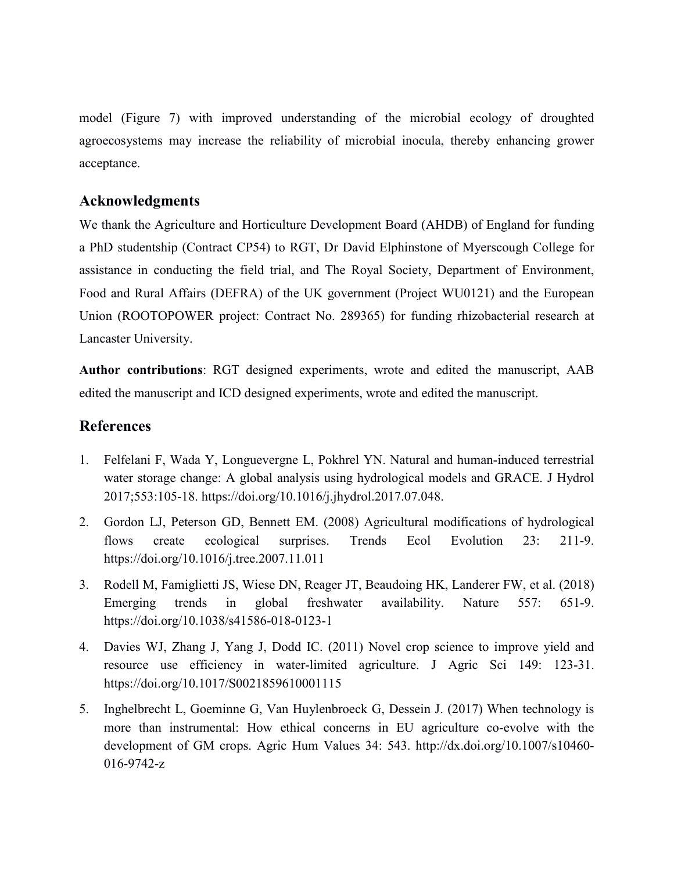model (Figure 7) with improved understanding of the microbial ecology of droughted agroecosystems may increase the reliability of microbial inocula, thereby enhancing grower acceptance.

## **Acknowledgments**

We thank the Agriculture and Horticulture Development Board (AHDB) of England for funding a PhD studentship (Contract CP54) to RGT, Dr David Elphinstone of Myerscough College for assistance in conducting the field trial, and The Royal Society, Department of Environment, Food and Rural Affairs (DEFRA) of the UK government (Project WU0121) and the European Union (ROOTOPOWER project: Contract No. 289365) for funding rhizobacterial research at Lancaster University.

**Author contributions**: RGT designed experiments, wrote and edited the manuscript, AAB edited the manuscript and ICD designed experiments, wrote and edited the manuscript.

## **References**

- 1. Felfelani F, Wada Y, Longuevergne L, Pokhrel YN. Natural and human-induced terrestrial water storage change: A global analysis using hydrological models and GRACE. J Hydrol 2017;553:105-18. https://doi.org/10.1016/j.jhydrol.2017.07.048.
- 2. Gordon LJ, Peterson GD, Bennett EM. (2008) Agricultural modifications of hydrological flows create ecological surprises. Trends Ecol Evolution 23: 211-9. <https://doi.org/10.1016/j.tree.2007.11.011>
- 3. Rodell M, Famiglietti JS, Wiese DN, Reager JT, Beaudoing HK, Landerer FW, et al. (2018) Emerging trends in global freshwater availability. Nature 557: 651-9. https://doi.org/10.1038/s41586-018-0123-1
- 4. Davies WJ, Zhang J, Yang J, Dodd IC. (2011) Novel crop science to improve yield and resource use efficiency in water-limited agriculture. J Agric Sci 149: 123-31. <https://doi.org/10.1017/S0021859610001115>
- 5. Inghelbrecht L, Goeminne G, Van Huylenbroeck G, Dessein J. (2017) When technology is more than instrumental: How ethical concerns in EU agriculture co-evolve with the development of GM crops. Agric Hum Values 34: 543. http://dx.doi.org/10.1007/s10460- 016-9742-z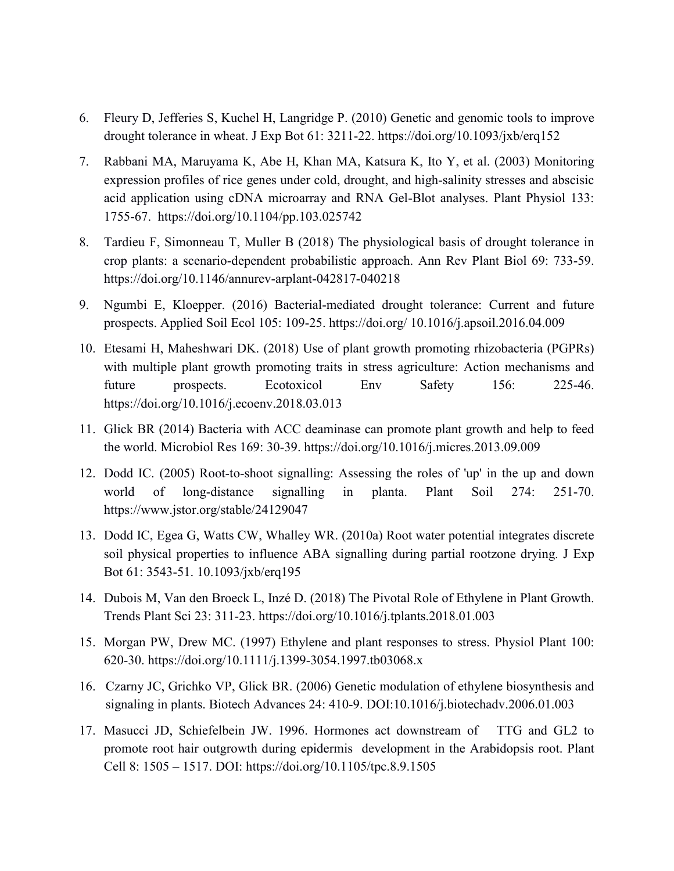- 6. Fleury D, Jefferies S, Kuchel H, Langridge P. (2010) Genetic and genomic tools to improve drought tolerance in wheat. J Exp Bot 61: 3211-22.<https://doi.org/10.1093/jxb/erq152>
- 7. Rabbani MA, Maruyama K, Abe H, Khan MA, Katsura K, Ito Y, et al. (2003) Monitoring expression profiles of rice genes under cold, drought, and high-salinity stresses and abscisic acid application using cDNA microarray and RNA Gel-Blot analyses. Plant Physiol 133: 1755-67. https://doi.org/10.1104/pp.103.025742
- 8. Tardieu F, Simonneau T, Muller B (2018) The physiological basis of drought tolerance in crop plants: a scenario-dependent probabilistic approach. Ann Rev Plant Biol 69: 733-59. <https://doi.org/10.1146/annurev-arplant-042817-040218>
- 9. Ngumbi E, Kloepper. (2016) Bacterial-mediated drought tolerance: Current and future prospects. Applied Soil Ecol 105: 109-25. https://doi.org/ 10.1016/j.apsoil.2016.04.009
- 10. Etesami H, Maheshwari DK. (2018) Use of plant growth promoting rhizobacteria (PGPRs) with multiple plant growth promoting traits in stress agriculture: Action mechanisms and future prospects. Ecotoxicol Env Safety 156: 225-46. https://doi.org/10.1016/j.ecoenv.2018.03.013
- 11. Glick BR (2014) Bacteria with ACC deaminase can promote plant growth and help to feed the world. Microbiol Res 169: 30-39. https://doi.org/10.1016/j.micres.2013.09.009
- 12. Dodd IC. (2005) Root-to-shoot signalling: Assessing the roles of 'up' in the up and down world of long-distance signalling in planta. Plant Soil 274: 251-70. https://www.jstor.org/stable/24129047
- 13. Dodd IC, Egea G, Watts CW, Whalley WR. (2010a) Root water potential integrates discrete soil physical properties to influence ABA signalling during partial rootzone drying. J Exp Bot 61: 3543-51. 10.1093/jxb/erq195
- 14. Dubois M, Van den Broeck L, Inzé D. (2018) The Pivotal Role of Ethylene in Plant Growth. Trends Plant Sci 23: 311-23. https://doi.org/10.1016/j.tplants.2018.01.003
- 15. Morgan PW, Drew MC. (1997) Ethylene and plant responses to stress. Physiol Plant 100: 620-30. https://doi.org/10.1111/j.1399-3054.1997.tb03068.x
- 16. Czarny JC, Grichko VP, Glick BR. (2006) Genetic modulation of ethylene biosynthesis and signaling in plants. Biotech Advances 24: 410-9. DOI:10.1016/j.biotechadv.2006.01.003
- 17. Masucci JD, Schiefelbein JW. 1996. Hormones act downstream of TTG and GL2 to promote root hair outgrowth during epidermis development in the Arabidopsis root. Plant Cell 8: 1505 – 1517. DOI: https://doi.org/10.1105/tpc.8.9.1505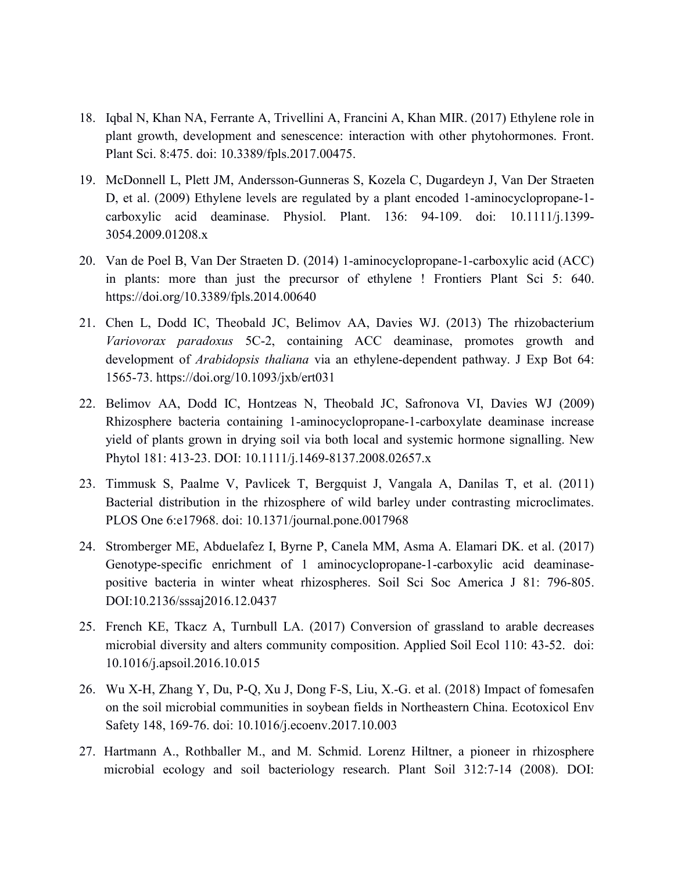- 18. Iqbal N, Khan NA, Ferrante A, Trivellini A, Francini A, Khan MIR. (2017) Ethylene role in plant growth, development and senescence: interaction with other phytohormones. Front. Plant Sci. 8:475. doi: 10.3389/fpls.2017.00475.
- 19. McDonnell L, Plett JM, Andersson-Gunneras S, Kozela C, Dugardeyn J, Van Der Straeten D, et al. (2009) Ethylene levels are regulated by a plant encoded 1-aminocyclopropane-1 carboxylic acid deaminase. Physiol. Plant. 136: 94-109. doi: 10.1111/j.1399- 3054.2009.01208.x
- 20. Van de Poel B, Van Der Straeten D. (2014) 1-aminocyclopropane-1-carboxylic acid (ACC) in plants: more than just the precursor of ethylene ! Frontiers Plant Sci 5: 640. https://doi.org/10.3389/fpls.2014.00640
- 21. Chen L, Dodd IC, Theobald JC, Belimov AA, Davies WJ. (2013) The rhizobacterium *Variovorax paradoxus* 5C-2, containing ACC deaminase, promotes growth and development of *Arabidopsis thaliana* via an ethylene-dependent pathway. J Exp Bot 64: 1565-73. https://doi.org/10.1093/jxb/ert031
- 22. Belimov AA, Dodd IC, Hontzeas N, Theobald JC, Safronova VI, Davies WJ (2009) Rhizosphere bacteria containing 1-aminocyclopropane-1-carboxylate deaminase increase yield of plants grown in drying soil via both local and systemic hormone signalling. New Phytol 181: 413-23. DOI: 10.1111/j.1469-8137.2008.02657.x
- 23. Timmusk S, Paalme V, Pavlicek T, Bergquist J, Vangala A, Danilas T, et al. (2011) Bacterial distribution in the rhizosphere of wild barley under contrasting microclimates. PLOS One 6:e17968. doi: 10.1371/journal.pone.0017968
- 24. Stromberger ME, Abduelafez I, Byrne P, Canela MM, Asma A. Elamari DK. et al. (2017) Genotype-specific enrichment of 1 aminocyclopropane-1-carboxylic acid deaminasepositive bacteria in winter wheat rhizospheres. Soil Sci Soc America J 81: 796-805. DOI:10.2136/sssaj2016.12.0437
- 25. French KE, Tkacz A, Turnbull LA. (2017) Conversion of grassland to arable decreases microbial diversity and alters community composition. Applied Soil Ecol 110: 43-52. doi: 10.1016/j.apsoil.2016.10.015
- 26. Wu X-H, Zhang Y, Du, P-Q, Xu J, Dong F-S, Liu, X.-G. et al. (2018) Impact of fomesafen on the soil microbial communities in soybean fields in Northeastern China. Ecotoxicol Env Safety 148, 169-76. doi: 10.1016/j.ecoenv.2017.10.003
- 27. Hartmann A., Rothballer M., and M. Schmid. Lorenz Hiltner, a pioneer in rhizosphere microbial ecology and soil bacteriology research. Plant Soil 312:7-14 (2008). DOI: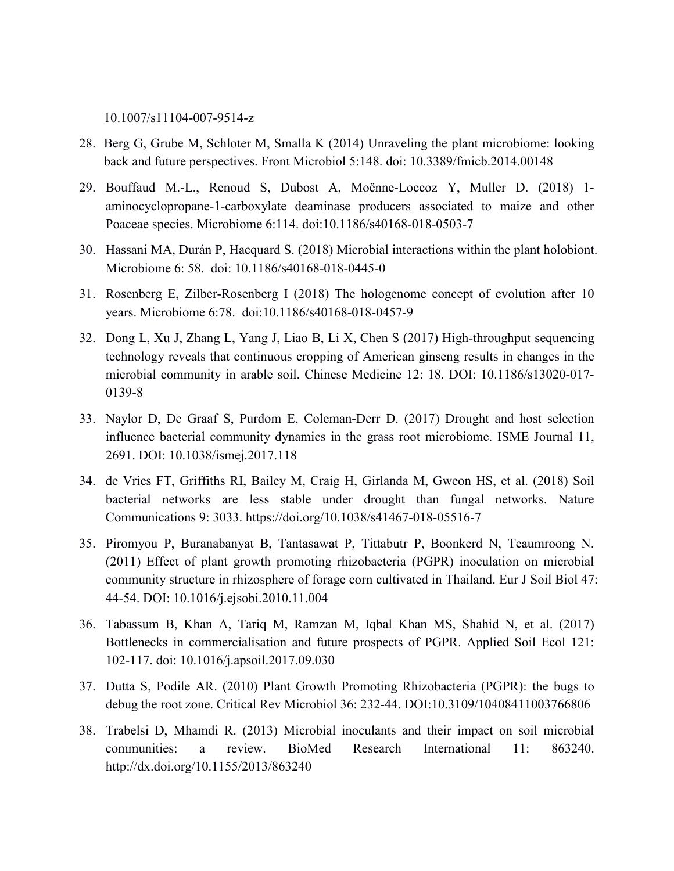10.1007/s11104-007-9514-z

- 28. Berg G, Grube M, Schloter M, Smalla K (2014) Unraveling the plant microbiome: looking back and future perspectives. Front Microbiol 5:148. doi: 10.3389/fmicb.2014.00148
- 29. Bouffaud M.-L., Renoud S, Dubost A, Moënne-Loccoz Y, Muller D. (2018) 1 aminocyclopropane-1-carboxylate deaminase producers associated to maize and other Poaceae species. Microbiome 6:114. doi:10.1186/s40168-018-0503-7
- 30. Hassani MA, Durán P, Hacquard S. (2018) Microbial interactions within the plant holobiont. Microbiome 6: 58. doi: 10.1186/s40168-018-0445-0
- 31. Rosenberg E, Zilber-Rosenberg I (2018) The hologenome concept of evolution after 10 years. Microbiome 6:78. doi:10.1186/s40168-018-0457-9
- 32. Dong L, Xu J, Zhang L, Yang J, Liao B, Li X, Chen S (2017) High-throughput sequencing technology reveals that continuous cropping of American ginseng results in changes in the microbial community in arable soil. Chinese Medicine 12: 18. DOI: 10.1186/s13020-017- 0139-8
- 33. Naylor D, De Graaf S, Purdom E, Coleman-Derr D. (2017) Drought and host selection influence bacterial community dynamics in the grass root microbiome. ISME Journal 11, 2691. DOI: 10.1038/ismej.2017.118
- 34. de Vries FT, Griffiths RI, Bailey M, Craig H, Girlanda M, Gweon HS, et al. (2018) Soil bacterial networks are less stable under drought than fungal networks. Nature Communications 9: 3033. https://doi.org/10.1038/s41467-018-05516-7
- 35. Piromyou P, Buranabanyat B, Tantasawat P, Tittabutr P, Boonkerd N, Teaumroong N. (2011) Effect of plant growth promoting rhizobacteria (PGPR) inoculation on microbial community structure in rhizosphere of forage corn cultivated in Thailand. Eur J Soil Biol 47: 44-54. DOI: 10.1016/j.ejsobi.2010.11.004
- 36. Tabassum B, Khan A, Tariq M, Ramzan M, Iqbal Khan MS, Shahid N, et al. (2017) Bottlenecks in commercialisation and future prospects of PGPR. Applied Soil Ecol 121: 102-117. doi: 10.1016/j.apsoil.2017.09.030
- 37. Dutta S, Podile AR. (2010) Plant Growth Promoting Rhizobacteria (PGPR): the bugs to debug the root zone. Critical Rev Microbiol 36: 232-44. DOI:10.3109/10408411003766806
- 38. Trabelsi D, Mhamdi R. (2013) Microbial inoculants and their impact on soil microbial communities: a review. BioMed Research International 11: 863240. http://dx.doi.org/10.1155/2013/863240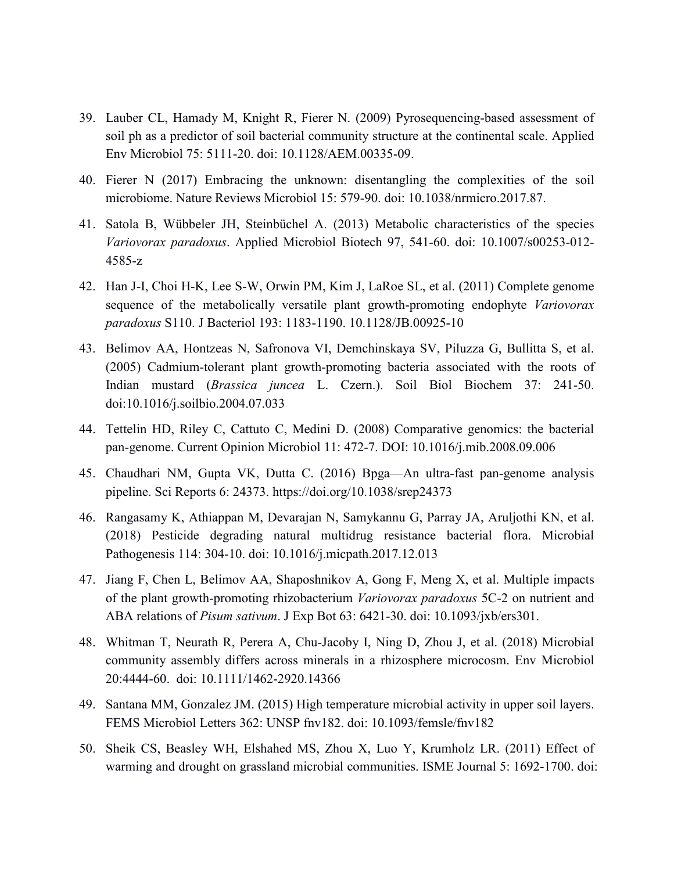- 39. Lauber CL, Hamady M, Knight R, Fierer N. (2009) Pyrosequencing-based assessment of soil ph as a predictor of soil bacterial community structure at the continental scale. Applied Env Microbiol 75: 5111-20. doi: 10.1128/AEM.00335-09.
- 40. Fierer N (2017) Embracing the unknown: disentangling the complexities of the soil microbiome. Nature Reviews Microbiol 15: 579-90. doi: 10.1038/nrmicro.2017.87.
- 41. Satola B, Wübbeler JH, Steinbüchel A. (2013) Metabolic characteristics of the species *Variovorax paradoxus*. Applied Microbiol Biotech 97, 541-60. doi: 10.1007/s00253-012- 4585-z
- 42. Han J-I, Choi H-K, Lee S-W, Orwin PM, Kim J, LaRoe SL, et al. (2011) Complete genome sequence of the metabolically versatile plant growth-promoting endophyte *Variovorax paradoxus* S110. J Bacteriol 193: 1183-1190. 10.1128/JB.00925-10
- 43. Belimov AA, Hontzeas N, Safronova VI, Demchinskaya SV, Piluzza G, Bullitta S, et al. (2005) Cadmium-tolerant plant growth-promoting bacteria associated with the roots of Indian mustard (*Brassica juncea* L. Czern.). Soil Biol Biochem 37: 241-50. doi:10.1016/j.soilbio.2004.07.033
- 44. Tettelin HD, Riley C, Cattuto C, Medini D. (2008) Comparative genomics: the bacterial pan-genome. Current Opinion Microbiol 11: 472-7. DOI: 10.1016/j.mib.2008.09.006
- 45. Chaudhari NM, Gupta VK, Dutta C. (2016) Bpga—An ultra-fast pan-genome analysis pipeline. Sci Reports 6: 24373. https://doi.org/10.1038/srep24373
- 46. Rangasamy K, Athiappan M, Devarajan N, Samykannu G, Parray JA, Aruljothi KN, et al. (2018) Pesticide degrading natural multidrug resistance bacterial flora. Microbial Pathogenesis 114: 304-10. doi: 10.1016/j.micpath.2017.12.013
- 47. Jiang F, Chen L, Belimov AA, Shaposhnikov A, Gong F, Meng X, et al. Multiple impacts of the plant growth-promoting rhizobacterium *Variovorax paradoxus* 5C-2 on nutrient and ABA relations of *Pisum sativum*. J Exp Bot 63: 6421-30. doi: 10.1093/jxb/ers301.
- 48. Whitman T, Neurath R, Perera A, Chu-Jacoby I, Ning D, Zhou J, et al. (2018) Microbial community assembly differs across minerals in a rhizosphere microcosm. Env Microbiol 20:4444-60. doi: 10.1111/1462-2920.14366
- 49. Santana MM, Gonzalez JM. (2015) High temperature microbial activity in upper soil layers. FEMS Microbiol Letters 362: UNSP fnv182. doi: 10.1093/femsle/fnv182
- 50. Sheik CS, Beasley WH, Elshahed MS, Zhou X, Luo Y, Krumholz LR. (2011) Effect of warming and drought on grassland microbial communities. ISME Journal 5: 1692-1700. doi: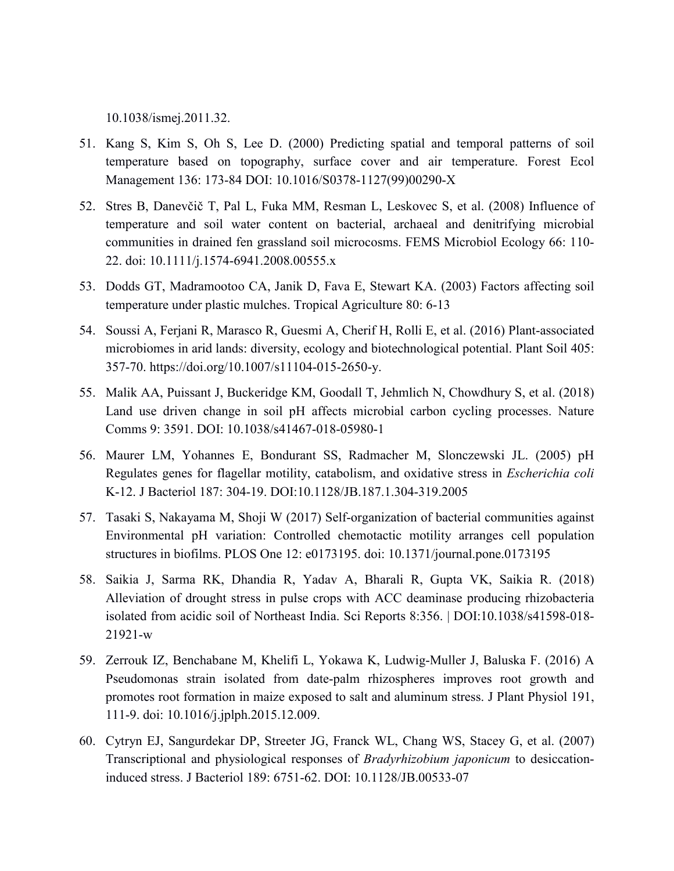10.1038/ismej.2011.32.

- 51. Kang S, Kim S, Oh S, Lee D. (2000) Predicting spatial and temporal patterns of soil temperature based on topography, surface cover and air temperature. Forest Ecol Management 136: 173-84 DOI: 10.1016/S0378-1127(99)00290-X
- 52. Stres B, Danevčič T, Pal L, Fuka MM, Resman L, Leskovec S, et al. (2008) Influence of temperature and soil water content on bacterial, archaeal and denitrifying microbial communities in drained fen grassland soil microcosms. FEMS Microbiol Ecology 66: 110- 22. doi: 10.1111/j.1574-6941.2008.00555.x
- 53. Dodds GT, Madramootoo CA, Janik D, Fava E, Stewart KA. (2003) Factors affecting soil temperature under plastic mulches. Tropical Agriculture 80: 6-13
- 54. Soussi A, Ferjani R, Marasco R, Guesmi A, Cherif H, Rolli E, et al. (2016) Plant-associated microbiomes in arid lands: diversity, ecology and biotechnological potential. Plant Soil 405: 357-70. https://doi.org/10.1007/s11104-015-2650-y.
- 55. Malik AA, Puissant J, Buckeridge KM, Goodall T, Jehmlich N, Chowdhury S, et al. (2018) Land use driven change in soil pH affects microbial carbon cycling processes. Nature Comms 9: 3591. DOI: 10.1038/s41467-018-05980-1
- 56. Maurer LM, Yohannes E, Bondurant SS, Radmacher M, Slonczewski JL. (2005) pH Regulates genes for flagellar motility, catabolism, and oxidative stress in *Escherichia coli* K-12. J Bacteriol 187: 304-19. DOI:10.1128/JB.187.1.304-319.2005
- 57. Tasaki S, Nakayama M, Shoji W (2017) Self-organization of bacterial communities against Environmental pH variation: Controlled chemotactic motility arranges cell population structures in biofilms. PLOS One 12: e0173195. doi: 10.1371/journal.pone.0173195
- 58. Saikia J, Sarma RK, Dhandia R, Yadav A, Bharali R, Gupta VK, Saikia R. (2018) Alleviation of drought stress in pulse crops with ACC deaminase producing rhizobacteria isolated from acidic soil of Northeast India. Sci Reports 8:356. | DOI:10.1038/s41598-018- 21921-w
- 59. Zerrouk IZ, Benchabane M, Khelifi L, Yokawa K, Ludwig-Muller J, Baluska F. (2016) A Pseudomonas strain isolated from date-palm rhizospheres improves root growth and promotes root formation in maize exposed to salt and aluminum stress. J Plant Physiol 191, 111-9. doi: 10.1016/j.jplph.2015.12.009.
- 60. Cytryn EJ, Sangurdekar DP, Streeter JG, Franck WL, Chang WS, Stacey G, et al. (2007) Transcriptional and physiological responses of *Bradyrhizobium japonicum* to desiccationinduced stress. J Bacteriol 189: 6751-62. DOI: 10.1128/JB.00533-07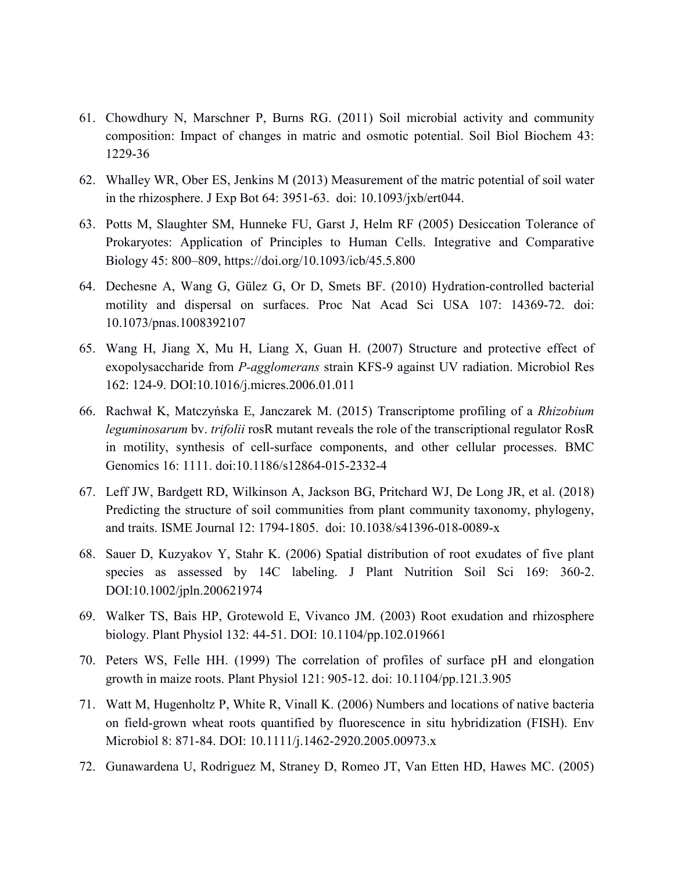- 61. Chowdhury N, Marschner P, Burns RG. (2011) Soil microbial activity and community composition: Impact of changes in matric and osmotic potential. Soil Biol Biochem 43: 1229-36
- 62. Whalley WR, Ober ES, Jenkins M (2013) Measurement of the matric potential of soil water in the rhizosphere. J Exp Bot 64: 3951-63. doi: 10.1093/jxb/ert044.
- 63. Potts M, Slaughter SM, Hunneke FU, Garst J, Helm RF (2005) Desiccation Tolerance of Prokaryotes: Application of Principles to Human Cells. Integrative and Comparative Biology 45: 800–809,<https://doi.org/10.1093/icb/45.5.800>
- 64. Dechesne A, Wang G, Gülez G, Or D, Smets BF. (2010) Hydration-controlled bacterial motility and dispersal on surfaces. Proc Nat Acad Sci USA 107: 14369-72. doi: 10.1073/pnas.1008392107
- 65. Wang H, Jiang X, Mu H, Liang X, Guan H. (2007) Structure and protective effect of exopolysaccharide from *P-agglomerans* strain KFS-9 against UV radiation. Microbiol Res 162: 124-9. DOI:10.1016/j.micres.2006.01.011
- 66. Rachwał K, Matczyńska E, Janczarek M. (2015) Transcriptome profiling of a *Rhizobium leguminosarum* bv. *trifolii* rosR mutant reveals the role of the transcriptional regulator RosR in motility, synthesis of cell-surface components, and other cellular processes. BMC Genomics 16: 1111. doi:10.1186/s12864-015-2332-4
- 67. Leff JW, Bardgett RD, Wilkinson A, Jackson BG, Pritchard WJ, De Long JR, et al. (2018) Predicting the structure of soil communities from plant community taxonomy, phylogeny, and traits. ISME Journal 12: 1794-1805. doi: 10.1038/s41396-018-0089-x
- 68. Sauer D, Kuzyakov Y, Stahr K. (2006) Spatial distribution of root exudates of five plant species as assessed by 14C labeling. J Plant Nutrition Soil Sci 169: 360-2. DOI:10.1002/jpln.200621974
- 69. Walker TS, Bais HP, Grotewold E, Vivanco JM. (2003) Root exudation and rhizosphere biology. Plant Physiol 132: 44-51. DOI: 10.1104/pp.102.019661
- 70. Peters WS, Felle HH. (1999) The correlation of profiles of surface pH and elongation growth in maize roots. Plant Physiol 121: 905-12. doi: 10.1104/pp.121.3.905
- 71. Watt M, Hugenholtz P, White R, Vinall K. (2006) Numbers and locations of native bacteria on field-grown wheat roots quantified by fluorescence in situ hybridization (FISH). Env Microbiol 8: 871-84. DOI: 10.1111/j.1462-2920.2005.00973.x
- 72. Gunawardena U, Rodriguez M, Straney D, Romeo JT, Van Etten HD, Hawes MC. (2005)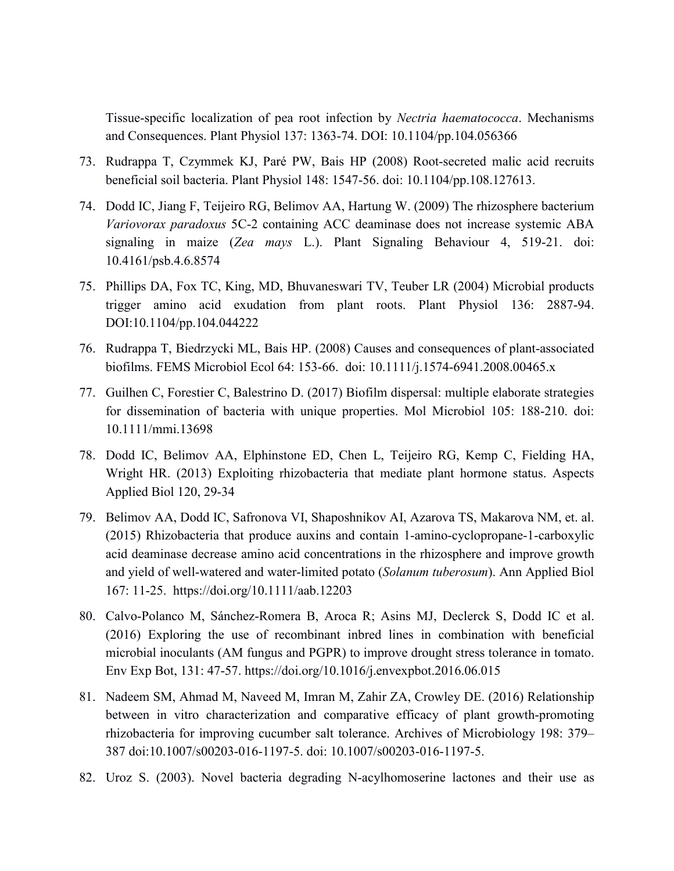Tissue-specific localization of pea root infection by *Nectria haematococca*. Mechanisms and Consequences. Plant Physiol 137: 1363-74. DOI: 10.1104/pp.104.056366

- 73. Rudrappa T, Czymmek KJ, Paré PW, Bais HP (2008) Root-secreted malic acid recruits beneficial soil bacteria. Plant Physiol 148: 1547-56. doi: 10.1104/pp.108.127613.
- 74. Dodd IC, Jiang F, Teijeiro RG, Belimov AA, Hartung W. (2009) The rhizosphere bacterium *Variovorax paradoxus* 5C-2 containing ACC deaminase does not increase systemic ABA signaling in maize (*Zea mays* L.). Plant Signaling Behaviour 4, 519-21. doi: 10.4161/psb.4.6.8574
- 75. Phillips DA, Fox TC, King, MD, Bhuvaneswari TV, Teuber LR (2004) Microbial products trigger amino acid exudation from plant roots. Plant Physiol 136: 2887-94. DOI:10.1104/pp.104.044222
- 76. Rudrappa T, Biedrzycki ML, Bais HP. (2008) Causes and consequences of plant-associated biofilms. FEMS Microbiol Ecol 64: 153-66. doi: 10.1111/j.1574-6941.2008.00465.x
- 77. Guilhen C, Forestier C, Balestrino D. (2017) Biofilm dispersal: multiple elaborate strategies for dissemination of bacteria with unique properties. Mol Microbiol 105: 188-210. doi: 10.1111/mmi.13698
- 78. Dodd IC, Belimov AA, Elphinstone ED, Chen L, Teijeiro RG, Kemp C, Fielding HA, Wright HR. (2013) Exploiting rhizobacteria that mediate plant hormone status. Aspects Applied Biol 120, 29-34
- 79. Belimov AA, Dodd IC, Safronova VI, Shaposhnikov AI, Azarova TS, Makarova NM, et. al. (2015) Rhizobacteria that produce auxins and contain 1-amino-cyclopropane-1-carboxylic acid deaminase decrease amino acid concentrations in the rhizosphere and improve growth and yield of well-watered and water-limited potato (*Solanum tuberosum*). Ann Applied Biol 167: 11-25. https://doi.org/10.1111/aab.12203
- 80. Calvo-Polanco M, Sánchez-Romera B, Aroca R; Asins MJ, Declerck S, Dodd IC et al. (2016) Exploring the use of recombinant inbred lines in combination with beneficial microbial inoculants (AM fungus and PGPR) to improve drought stress tolerance in tomato. Env Exp Bot, 131: 47-57. https://doi.org/10.1016/j.envexpbot.2016.06.015
- 81. Nadeem SM, Ahmad M, Naveed M, Imran M, Zahir ZA, Crowley DE. (2016) Relationship between in vitro characterization and comparative efficacy of plant growth-promoting rhizobacteria for improving cucumber salt tolerance. Archives of Microbiology 198: 379– 387 doi:10.1007/s00203-016-1197-5. doi: 10.1007/s00203-016-1197-5.
- 82. Uroz S. (2003). Novel bacteria degrading N-acylhomoserine lactones and their use as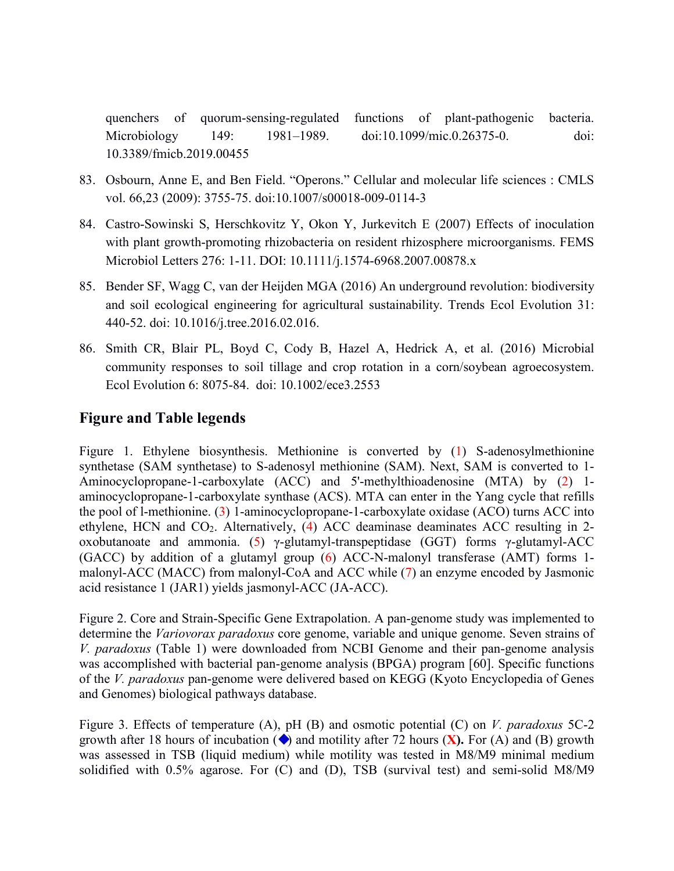quenchers of quorum-sensing-regulated functions of plant-pathogenic bacteria. Microbiology 149: 1981–1989. doi:10.1099/mic.0.26375-0. doi: 10.3389/fmicb.2019.00455

- 83. Osbourn, Anne E, and Ben Field. "Operons." Cellular and molecular life sciences : CMLS vol. 66,23 (2009): 3755-75. doi:10.1007/s00018-009-0114-3
- 84. Castro-Sowinski S, Herschkovitz Y, Okon Y, Jurkevitch E (2007) Effects of inoculation with plant growth-promoting rhizobacteria on resident rhizosphere microorganisms. FEMS Microbiol Letters 276: 1-11. DOI: 10.1111/j.1574-6968.2007.00878.x
- 85. Bender SF, Wagg C, van der Heijden MGA (2016) An underground revolution: biodiversity and soil ecological engineering for agricultural sustainability. Trends Ecol Evolution 31: 440-52. doi: 10.1016/j.tree.2016.02.016.
- 86. Smith CR, Blair PL, Boyd C, Cody B, Hazel A, Hedrick A, et al. (2016) Microbial community responses to soil tillage and crop rotation in a corn/soybean agroecosystem. Ecol Evolution 6: 8075-84. doi: 10.1002/ece3.2553

# **Figure and Table legends**

Figure 1. Ethylene biosynthesis. Methionine is converted by (1) S-adenosylmethionine synthetase (SAM synthetase) to S-adenosyl methionine (SAM). Next, SAM is converted to 1- Aminocyclopropane-1-carboxylate (ACC) and 5'-methylthioadenosine (MTA) by (2) 1 aminocyclopropane-1-carboxylate synthase (ACS). MTA can enter in the Yang cycle that refills the pool of l-methionine. (3) 1-aminocyclopropane-1-carboxylate oxidase (ACO) turns ACC into ethylene, HCN and CO2. Alternatively, (4) ACC deaminase deaminates ACC resulting in 2 oxobutanoate and ammonia. (5) γ-glutamyl-transpeptidase (GGT) forms γ-glutamyl-ACC (GACC) by addition of a glutamyl group (6) ACC-N-malonyl transferase (AMT) forms 1 malonyl-ACC (MACC) from malonyl-CoA and ACC while (7) an enzyme encoded by Jasmonic acid resistance 1 (JAR1) yields jasmonyl-ACC (JA-ACC).

Figure 2. Core and Strain-Specific Gene Extrapolation. A pan-genome study was implemented to determine the *Variovorax paradoxus* core genome, variable and unique genome. Seven strains of *V. paradoxus* (Table 1) were downloaded from NCBI Genome and their pan-genome analysis was accomplished with bacterial pan-genome analysis (BPGA) program [60]. Specific functions of the *V. paradoxus* pan-genome were delivered based on KEGG (Kyoto Encyclopedia of Genes and Genomes) biological pathways database.

Figure 3. Effects of temperature (A), pH (B) and osmotic potential (C) on *V. paradoxus* 5C-2 growth after 18 hours of incubation  $\left(\bullet\right)$  and motility after 72 hours  $(\mathbf{X})$ . For  $(A)$  and  $(B)$  growth was assessed in TSB (liquid medium) while motility was tested in M8/M9 minimal medium solidified with 0.5% agarose. For (C) and (D), TSB (survival test) and semi-solid M8/M9